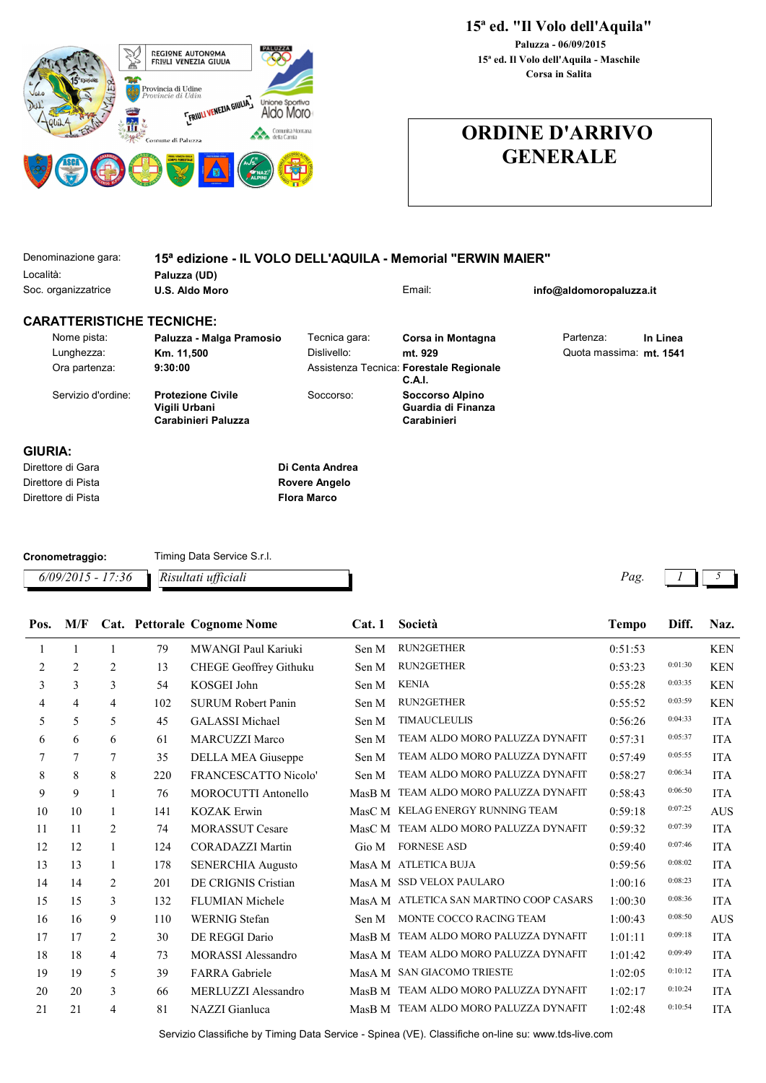

## 15ª ed. "Il Volo dell'Aquila"

15ª ed. Il Volo dell'Aquila - Maschile Paluzza - 06/09/2015 Corsa in Salita

## ORDINE D'ARRIVO GENERALE

| Denominazione gara:              | 15 <sup>a</sup> edizione - IL VOLO DELL'AQUILA - Memorial "ERWIN MAIER" |                    |                                                      |                         |          |
|----------------------------------|-------------------------------------------------------------------------|--------------------|------------------------------------------------------|-------------------------|----------|
| Località:                        | Paluzza (UD)                                                            |                    |                                                      |                         |          |
| Soc. organizzatrice              | <b>U.S. Aldo Moro</b>                                                   |                    | Email:                                               | info@aldomoropaluzza.it |          |
| <b>CARATTERISTICHE TECNICHE:</b> |                                                                         |                    |                                                      |                         |          |
| Nome pista:                      | Paluzza - Malga Pramosio                                                | Tecnica gara:      | Corsa in Montagna                                    | Partenza:               | In Linea |
| Lunghezza:                       | Km. 11,500                                                              | Dislivello:        | mt. 929                                              | Quota massima: mt. 1541 |          |
| Ora partenza:                    | 9:30:00                                                                 |                    | Assistenza Tecnica: Forestale Regionale<br>C.A.I.    |                         |          |
| Servizio d'ordine:               | <b>Protezione Civile</b><br>Vigili Urbani<br>Carabinieri Paluzza        | Soccorso:          | Soccorso Alpino<br>Guardia di Finanza<br>Carabinieri |                         |          |
| GIURIA:                          |                                                                         |                    |                                                      |                         |          |
| Direttore di Gara                |                                                                         | Di Centa Andrea    |                                                      |                         |          |
| Direttore di Pista               |                                                                         | Rovere Angelo      |                                                      |                         |          |
| Direttore di Pista               |                                                                         | <b>Flora Marco</b> |                                                      |                         |          |

| Cronometraggio:                         | Timing Data Service S.r.l. |                      |  |
|-----------------------------------------|----------------------------|----------------------|--|
| $6/09/2015 - 17:36$ Risultati ufficiali |                            | $P_{\mathcal{A}}$ g. |  |

| Pos.           | M/F            |              |     | Cat. Pettorale Cognome Nome | Cat.1  | Società                                 | <b>Tempo</b> | Diff.   | Naz.       |
|----------------|----------------|--------------|-----|-----------------------------|--------|-----------------------------------------|--------------|---------|------------|
| 1              | 1              | 1            | 79  | MWANGI Paul Kariuki         | Sen M  | RUN2GETHER                              | 0:51:53      |         | <b>KEN</b> |
| $\overline{c}$ | $\overline{2}$ | 2            | 13  | CHEGE Geoffrey Githuku      | Sen M  | RUN2GETHER                              | 0:53:23      | 0:01:30 | <b>KEN</b> |
| 3              | 3              | 3            | 54  | KOSGEI John                 | Sen M  | <b>KENIA</b>                            | 0:55:28      | 0:03:35 | <b>KEN</b> |
| 4              | $\overline{4}$ | 4            | 102 | <b>SURUM Robert Panin</b>   | Sen M  | <b>RUN2GETHER</b>                       | 0:55:52      | 0:03:59 | <b>KEN</b> |
| 5              | 5              | 5            | 45  | <b>GALASSI</b> Michael      | Sen M  | <b>TIMAUCLEULIS</b>                     | 0:56:26      | 0:04:33 | <b>ITA</b> |
| 6              | 6              | 6            | 61  | <b>MARCUZZI Marco</b>       | Sen M  | TEAM ALDO MORO PALUZZA DYNAFIT          | 0:57:31      | 0:05:37 | <b>ITA</b> |
| 7              | 7              | 7            | 35  | DELLA MEA Giuseppe          | Sen M  | TEAM ALDO MORO PALUZZA DYNAFIT          | 0:57:49      | 0:05:55 | <b>ITA</b> |
| 8              | 8              | 8            | 220 | <b>FRANCESCATTO Nicolo'</b> | Sen M  | TEAM ALDO MORO PALUZZA DYNAFIT          | 0:58:27      | 0:06:34 | <b>ITA</b> |
| 9              | 9              | 1            | 76  | <b>MOROCUTTI Antonello</b>  | MasB M | TEAM ALDO MORO PALUZZA DYNAFIT          | 0:58:43      | 0:06:50 | <b>ITA</b> |
| 10             | 10             | 1            | 141 | <b>KOZAK Erwin</b>          |        | MasC M KELAG ENERGY RUNNING TEAM        | 0:59:18      | 0:07:25 | <b>AUS</b> |
| 11             | 11             | 2            | 74  | <b>MORASSUT Cesare</b>      |        | MasC M TEAM ALDO MORO PALUZZA DYNAFIT   | 0:59:32      | 0:07:39 | <b>ITA</b> |
| 12             | 12             | $\mathbf{1}$ | 124 | <b>CORADAZZI Martin</b>     | Gio M  | <b>FORNESE ASD</b>                      | 0:59:40      | 0:07:46 | <b>ITA</b> |
| 13             | 13             | $\mathbf{1}$ | 178 | <b>SENERCHIA Augusto</b>    |        | MasA M ATLETICA BUJA                    | 0:59:56      | 0:08:02 | <b>ITA</b> |
| 14             | 14             | 2            | 201 | DE CRIGNIS Cristian         |        | MasA M SSD VELOX PAULARO                | 1:00:16      | 0:08:23 | <b>ITA</b> |
| 15             | 15             | 3            | 132 | <b>FLUMIAN Michele</b>      |        | MasA M ATLETICA SAN MARTINO COOP CASARS | 1:00:30      | 0:08:36 | <b>ITA</b> |
| 16             | 16             | 9            | 110 | <b>WERNIG</b> Stefan        | Sen M  | MONTE COCCO RACING TEAM                 | 1:00:43      | 0:08:50 | <b>AUS</b> |
| 17             | 17             | 2            | 30  | DE REGGI Dario              |        | MasB M TEAM ALDO MORO PALUZZA DYNAFIT   | 1:01:11      | 0:09:18 | <b>ITA</b> |
| 18             | 18             | 4            | 73  | <b>MORASSI</b> Alessandro   |        | MasA M TEAM ALDO MORO PALUZZA DYNAFIT   | 1:01:42      | 0:09:49 | <b>ITA</b> |
| 19             | 19             | 5            | 39  | <b>FARRA</b> Gabriele       |        | MasA M SAN GIACOMO TRIESTE              | 1:02:05      | 0:10:12 | <b>ITA</b> |
| 20             | 20             | 3            | 66  | MERLUZZI Alessandro         |        | MasB M TEAM ALDO MORO PALUZZA DYNAFIT   | 1:02:17      | 0:10:24 | <b>ITA</b> |
| 21             | 21             | 4            | 81  | NAZZI Gianluca              |        | MasB M TEAM ALDO MORO PALUZZA DYNAFIT   | 1:02:48      | 0:10:54 | <b>ITA</b> |
|                |                |              |     |                             |        |                                         |              |         |            |

Servizio Classifiche by Timing Data Service - Spinea (VE). Classifiche on-line su: www.tds-live.com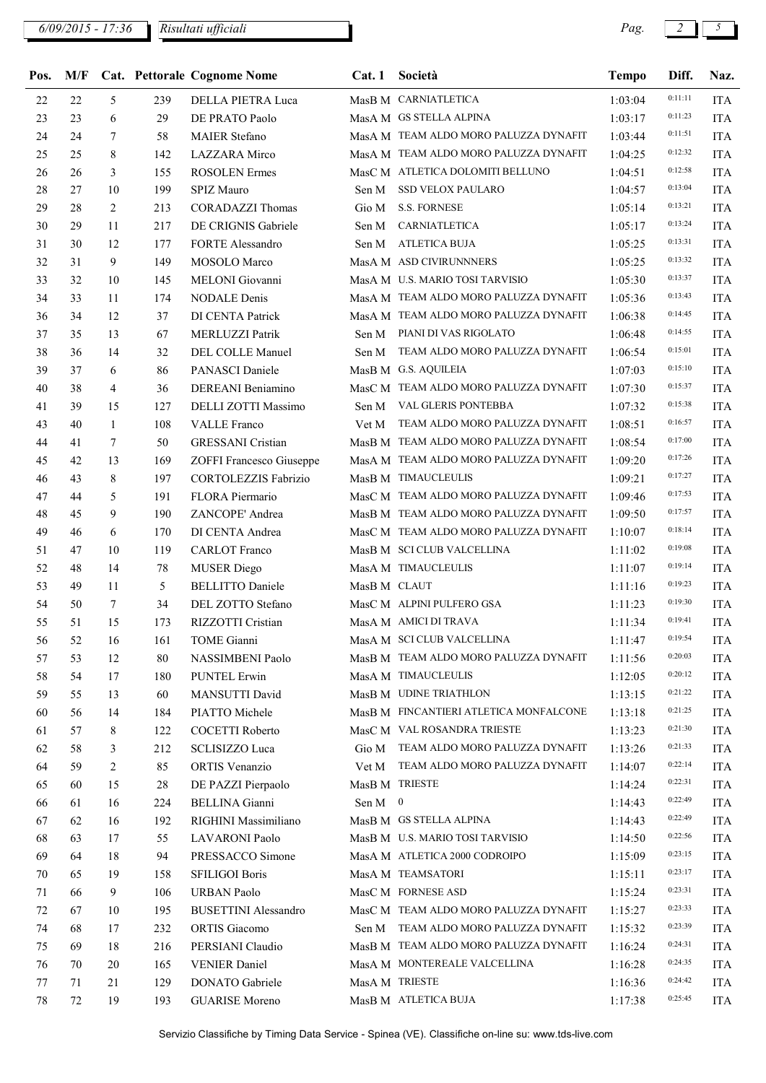$6/09/2015$  - 17:36 Risultati ufficiali  $\begin{bmatrix} 8 & 2 & 3 \end{bmatrix}$  Risultati ufficiali  $\begin{bmatrix} 2 & 3 & 5 \end{bmatrix}$ 

| Pos.   | M/F |              |     | Cat. Pettorale Cognome Nome | Cat.1        | Società                                | <b>Tempo</b> | Diff.   | Naz.       |
|--------|-----|--------------|-----|-----------------------------|--------------|----------------------------------------|--------------|---------|------------|
| 22     | 22  | 5            | 239 | DELLA PIETRA Luca           |              | MasB M CARNIATLETICA                   | 1:03:04      | 0:11:11 | <b>ITA</b> |
| 23     | 23  | 6            | 29  | DE PRATO Paolo              |              | MasA M GS STELLA ALPINA                | 1:03:17      | 0:11:23 | <b>ITA</b> |
| 24     | 24  | 7            | 58  | <b>MAIER Stefano</b>        |              | MasA M TEAM ALDO MORO PALUZZA DYNAFIT  | 1:03:44      | 0:11:51 | <b>ITA</b> |
| 25     | 25  | 8            | 142 | LAZZARA Mirco               |              | MasA M TEAM ALDO MORO PALUZZA DYNAFIT  | 1:04:25      | 0:12:32 | <b>ITA</b> |
| $26\,$ | 26  | 3            | 155 | <b>ROSOLEN</b> Ermes        |              | MasC M ATLETICA DOLOMITI BELLUNO       | 1:04:51      | 0:12:58 | <b>ITA</b> |
| $28\,$ | 27  | 10           | 199 | SPIZ Mauro                  | Sen M        | SSD VELOX PAULARO                      | 1:04:57      | 0:13:04 | <b>ITA</b> |
| 29     | 28  | 2            | 213 | <b>CORADAZZI</b> Thomas     | Gio M        | <b>S.S. FORNESE</b>                    | 1:05:14      | 0:13:21 | <b>ITA</b> |
| 30     | 29  | 11           | 217 | DE CRIGNIS Gabriele         | Sen M        | <b>CARNIATLETICA</b>                   | 1:05:17      | 0:13:24 | <b>ITA</b> |
| 31     | 30  | 12           | 177 | <b>FORTE Alessandro</b>     | Sen M        | <b>ATLETICA BUJA</b>                   | 1:05:25      | 0:13:31 | <b>ITA</b> |
| 32     | 31  | 9            | 149 | MOSOLO Marco                |              | MasA M ASD CIVIRUNNNERS                | 1:05:25      | 0:13:32 | <b>ITA</b> |
| 33     | 32  | 10           | 145 | MELONI Giovanni             |              | MasA M U.S. MARIO TOSI TARVISIO        | 1:05:30      | 0:13:37 | <b>ITA</b> |
| 34     | 33  | 11           | 174 | <b>NODALE</b> Denis         |              | MasA M TEAM ALDO MORO PALUZZA DYNAFIT  | 1:05:36      | 0:13:43 | <b>ITA</b> |
| 36     | 34  | 12           | 37  | DI CENTA Patrick            |              | MasA M TEAM ALDO MORO PALUZZA DYNAFIT  | 1:06:38      | 0:14:45 | <b>ITA</b> |
| 37     | 35  | 13           | 67  | MERLUZZI Patrik             | Sen M        | PIANI DI VAS RIGOLATO                  | 1:06:48      | 0:14:55 | <b>ITA</b> |
| 38     | 36  | 14           | 32  | <b>DEL COLLE Manuel</b>     | Sen M        | TEAM ALDO MORO PALUZZA DYNAFIT         | 1:06:54      | 0:15:01 | <b>ITA</b> |
| 39     | 37  | 6            | 86  | PANASCI Daniele             |              | MasB M G.S. AQUILEIA                   | 1:07:03      | 0:15:10 | <b>ITA</b> |
| 40     | 38  | 4            | 36  | DEREANI Beniamino           |              | MasC M TEAM ALDO MORO PALUZZA DYNAFIT  | 1:07:30      | 0:15:37 | <b>ITA</b> |
| 41     | 39  | 15           | 127 | DELLI ZOTTI Massimo         | Sen M        | VAL GLERIS PONTEBBA                    | 1:07:32      | 0:15:38 | <b>ITA</b> |
| 43     | 40  | $\mathbf{1}$ | 108 | <b>VALLE</b> Franco         | Vet M        | TEAM ALDO MORO PALUZZA DYNAFIT         | 1:08:51      | 0:16:57 | <b>ITA</b> |
| 44     | 41  | 7            | 50  | <b>GRESSANI</b> Cristian    |              | MasB M TEAM ALDO MORO PALUZZA DYNAFIT  | 1:08:54      | 0:17:00 | <b>ITA</b> |
| 45     | 42  | 13           | 169 | ZOFFI Francesco Giuseppe    |              | MasA M TEAM ALDO MORO PALUZZA DYNAFIT  | 1:09:20      | 0:17:26 | <b>ITA</b> |
| 46     | 43  | 8            | 197 | CORTOLEZZIS Fabrizio        |              | MasB M TIMAUCLEULIS                    | 1:09:21      | 0:17:27 | <b>ITA</b> |
| 47     | 44  | 5            | 191 | FLORA Piermario             |              | MasC M TEAM ALDO MORO PALUZZA DYNAFIT  | 1:09:46      | 0:17:53 | <b>ITA</b> |
| $48\,$ | 45  | 9            | 190 | ZANCOPE' Andrea             |              | MasB M TEAM ALDO MORO PALUZZA DYNAFIT  | 1:09:50      | 0:17:57 | <b>ITA</b> |
| 49     | 46  | 6            | 170 | DI CENTA Andrea             |              | MasC M TEAM ALDO MORO PALUZZA DYNAFIT  | 1:10:07      | 0:18:14 | <b>ITA</b> |
| 51     | 47  | 10           | 119 | <b>CARLOT</b> Franco        |              | MasB M SCI CLUB VALCELLINA             | 1:11:02      | 0:19:08 | <b>ITA</b> |
| 52     | 48  | 14           | 78  | <b>MUSER</b> Diego          |              | MasA M TIMAUCLEULIS                    | 1:11:07      | 0:19:14 | <b>ITA</b> |
| 53     | 49  | 11           | 5   | <b>BELLITTO</b> Daniele     | MasB M CLAUT |                                        | 1:11:16      | 0:19:23 | <b>ITA</b> |
| 54     | 50  | 7            | 34  | DEL ZOTTO Stefano           |              | MasC M ALPINI PULFERO GSA              | 1:11:23      | 0:19:30 | <b>ITA</b> |
| 55     | 51  | 15           | 173 | RIZZOTTI Cristian           |              | MasA M AMICI DI TRAVA                  | 1:11:34      | 0:19:41 | <b>ITA</b> |
| 56     | 52  | 16           | 161 | TOME Gianni                 |              | MasA M SCI CLUB VALCELLINA             | 1:11:47      | 0:19:54 | <b>ITA</b> |
| 57     | 53  | 12           | 80  | NASSIMBENI Paolo            |              | MasB M TEAM ALDO MORO PALUZZA DYNAFIT  | 1:11:56      | 0:20:03 | <b>ITA</b> |
| 58     | 54  | 17           | 180 | <b>PUNTEL Erwin</b>         |              | MasA M TIMAUCLEULIS                    | 1:12:05      | 0:20:12 | <b>ITA</b> |
| 59     | 55  | 13           | 60  | MANSUTTI David              |              | MasB M UDINE TRIATHLON                 | 1:13:15      | 0:21:22 | <b>ITA</b> |
| 60     | 56  | 14           | 184 | PIATTO Michele              |              | MasB M FINCANTIERI ATLETICA MONFALCONE | 1:13:18      | 0:21:25 | <b>ITA</b> |
| 61     | 57  | 8            | 122 | COCETTI Roberto             |              | MasC M VAL ROSANDRA TRIESTE            | 1:13:23      | 0:21:30 | <b>ITA</b> |
| 62     | 58  | 3            | 212 | <b>SCLISIZZO</b> Luca       |              | Gio M TEAM ALDO MORO PALUZZA DYNAFIT   | 1:13:26      | 0:21:33 | <b>ITA</b> |
| 64     | 59  | 2            | 85  | ORTIS Venanzio              |              | Vet M TEAM ALDO MORO PALUZZA DYNAFIT   | 1:14:07      | 0:22:14 | <b>ITA</b> |
| 65     | 60  | 15           | 28  | DE PAZZI Pierpaolo          |              | MasB M TRIESTE                         | 1:14:24      | 0:22:31 | <b>ITA</b> |
| 66     | 61  | 16           | 224 | <b>BELLINA</b> Gianni       | Sen M 0      |                                        | 1:14:43      | 0:22:49 | <b>ITA</b> |
| 67     | 62  | 16           | 192 | RIGHINI Massimiliano        |              | MasB M GS STELLA ALPINA                | 1:14:43      | 0:22:49 | <b>ITA</b> |
| 68     | 63  | 17           | 55  | LAVARONI Paolo              |              | MasB M U.S. MARIO TOSI TARVISIO        | 1:14:50      | 0:22:56 | <b>ITA</b> |
| 69     | 64  | 18           | 94  | PRESSACCO Simone            |              | MasA M ATLETICA 2000 CODROIPO          | 1:15:09      | 0:23:15 | <b>ITA</b> |
| 70     | 65  | 19           | 158 | SFILIGOI Boris              |              | MasA M TEAMSATORI                      | 1:15:11      | 0:23:17 | <b>ITA</b> |
| 71     | 66  | 9            | 106 | <b>URBAN Paolo</b>          |              | MasC M FORNESE ASD                     | 1:15:24      | 0:23:31 | <b>ITA</b> |
| 72     | 67  | 10           | 195 | <b>BUSETTINI</b> Alessandro |              | MasC M TEAM ALDO MORO PALUZZA DYNAFIT  | 1:15:27      | 0:23:33 | <b>ITA</b> |
| 74     | 68  | 17           | 232 | ORTIS Giacomo               |              | Sen M TEAM ALDO MORO PALUZZA DYNAFIT   | 1:15:32      | 0:23:39 | <b>ITA</b> |
| 75     | 69  | 18           | 216 | PERSIANI Claudio            |              | MasB M TEAM ALDO MORO PALUZZA DYNAFIT  | 1:16:24      | 0:24:31 | <b>ITA</b> |
| 76     | 70  | 20           | 165 | <b>VENIER Daniel</b>        |              | MasA M MONTEREALE VALCELLINA           | 1:16:28      | 0:24:35 | <b>ITA</b> |
| 77     | 71  | 21           | 129 | DONATO Gabriele             |              | MasA M TRIESTE                         | 1:16:36      | 0:24:42 | <b>ITA</b> |
| 78     | 72  | 19           | 193 | <b>GUARISE Moreno</b>       |              | MasB M ATLETICA BUJA                   | 1:17:38      | 0:25:45 | <b>ITA</b> |
|        |     |              |     |                             |              |                                        |              |         |            |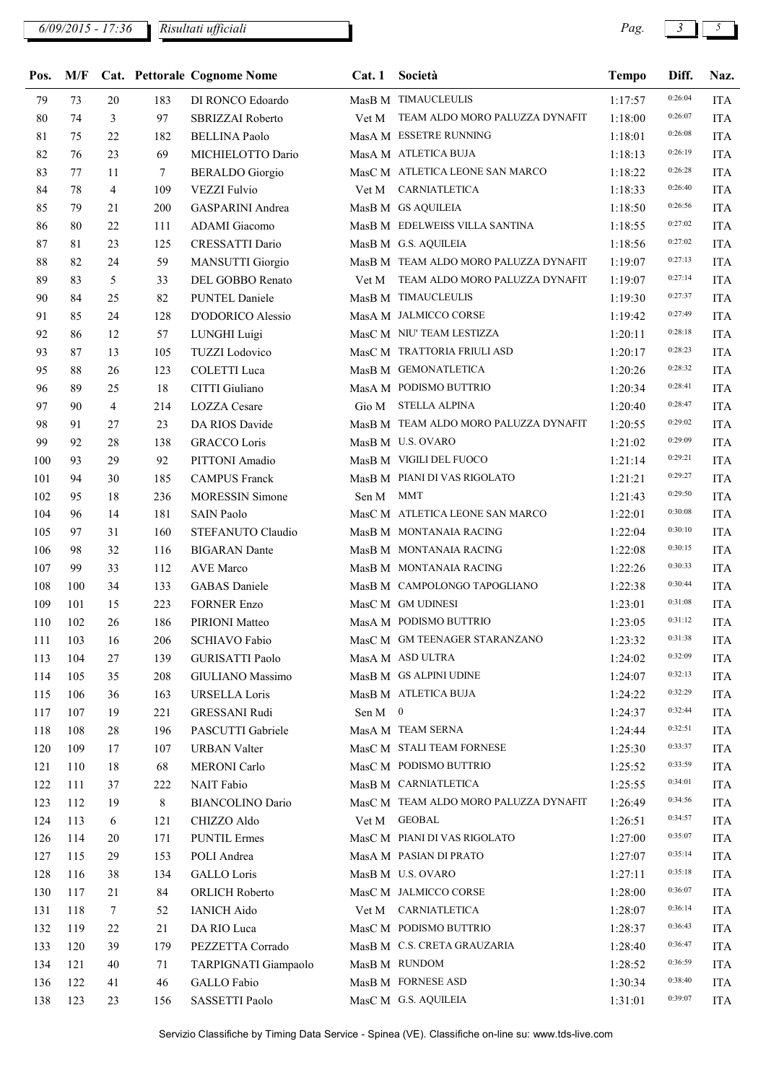## 6/09/2015 - 17:36 Pag. 3 5 Risultati ufficiali

| Pos.   |     |                |     | M/F Cat. Pettorale Cognome Nome |         | Cat. 1 Società                        | <b>Tempo</b> | Diff.   | Naz.       |
|--------|-----|----------------|-----|---------------------------------|---------|---------------------------------------|--------------|---------|------------|
| 79     | 73  | 20             | 183 | DI RONCO Edoardo                |         | MasB M TIMAUCLEULIS                   | 1:17:57      | 0:26:04 | <b>ITA</b> |
| 80     | 74  | 3              | 97  | SBRIZZAI Roberto                | Vet M   | TEAM ALDO MORO PALUZZA DYNAFIT        | 1:18:00      | 0:26:07 | <b>ITA</b> |
| 81     | 75  | 22             | 182 | <b>BELLINA Paolo</b>            |         | MasA M ESSETRE RUNNING                | 1:18:01      | 0:26:08 | <b>ITA</b> |
| 82     | 76  | 23             | 69  | MICHIELOTTO Dario               |         | MasA M ATLETICA BUJA                  | 1:18:13      | 0:26:19 | <b>ITA</b> |
| 83     | 77  | 11             | 7   | <b>BERALDO</b> Giorgio          |         | MasC M ATLETICA LEONE SAN MARCO       | 1:18:22      | 0:26:28 | <b>ITA</b> |
| 84     | 78  | $\overline{4}$ | 109 | <b>VEZZI Fulvio</b>             | Vet M   | CARNIATLETICA                         | 1:18:33      | 0:26:40 | <b>ITA</b> |
| 85     | 79  | 21             | 200 | <b>GASPARINI</b> Andrea         |         | MasB M GS AQUILEIA                    | 1:18:50      | 0:26:56 | <b>ITA</b> |
| 86     | 80  | 22             | 111 | ADAMI Giacomo                   |         | MasB M EDELWEISS VILLA SANTINA        | 1:18:55      | 0:27:02 | <b>ITA</b> |
| 87     | 81  | 23             | 125 | CRESSATTI Dario                 |         | MasB M G.S. AQUILEIA                  | 1:18:56      | 0:27:02 | <b>ITA</b> |
| $88\,$ | 82  | 24             | 59  | <b>MANSUTTI Giorgio</b>         |         | MasB M TEAM ALDO MORO PALUZZA DYNAFIT | 1:19:07      | 0:27:13 | <b>ITA</b> |
| 89     | 83  | 5              | 33  | DEL GOBBO Renato                | Vet M   | TEAM ALDO MORO PALUZZA DYNAFIT        | 1:19:07      | 0:27:14 | <b>ITA</b> |
| 90     | 84  | 25             | 82  | PUNTEL Daniele                  |         | MasB M TIMAUCLEULIS                   | 1:19:30      | 0:27:37 | <b>ITA</b> |
| 91     | 85  | 24             | 128 | D'ODORICO Alessio               |         | MasA M JALMICCO CORSE                 | 1:19:42      | 0:27:49 | <b>ITA</b> |
| 92     | 86  | 12             | 57  | LUNGHI Luigi                    |         | MasC M NIU' TEAM LESTIZZA             | 1:20:11      | 0:28:18 | <b>ITA</b> |
| 93     | 87  | 13             | 105 | <b>TUZZI</b> Lodovico           |         | MasC M TRATTORIA FRIULI ASD           | 1:20:17      | 0:28:23 | <b>ITA</b> |
| 95     | 88  | 26             | 123 | <b>COLETTI</b> Luca             |         | MasB M GEMONATLETICA                  | 1:20:26      | 0:28:32 | <b>ITA</b> |
| 96     | 89  | 25             | 18  | CITTI Giuliano                  |         | MasA M PODISMO BUTTRIO                | 1:20:34      | 0:28:41 | <b>ITA</b> |
| 97     | 90  | $\overline{4}$ | 214 | <b>LOZZA</b> Cesare             | Gio M   | <b>STELLA ALPINA</b>                  | 1:20:40      | 0:28:47 | <b>ITA</b> |
| 98     | 91  | 27             | 23  | DA RIOS Davide                  |         | MasB M TEAM ALDO MORO PALUZZA DYNAFIT | 1:20:55      | 0:29:02 | <b>ITA</b> |
| 99     | 92  | 28             | 138 | <b>GRACCO</b> Loris             |         | MasB M U.S. OVARO                     | 1:21:02      | 0:29:09 | <b>ITA</b> |
| 100    | 93  | 29             | 92  | PITTONI Amadio                  |         | MasB M VIGILI DEL FUOCO               | 1:21:14      | 0:29:21 | <b>ITA</b> |
| 101    | 94  | 30             | 185 | <b>CAMPUS Franck</b>            |         | MasB M PIANI DI VAS RIGOLATO          | 1:21:21      | 0:29:27 | <b>ITA</b> |
| 102    | 95  | 18             | 236 | <b>MORESSIN Simone</b>          | Sen M   | MMT                                   | 1:21:43      | 0:29:50 | <b>ITA</b> |
| 104    | 96  | 14             | 181 | <b>SAIN Paolo</b>               |         | MasC M ATLETICA LEONE SAN MARCO       | 1:22:01      | 0:30:08 | <b>ITA</b> |
| 105    | 97  | 31             | 160 | STEFANUTO Claudio               |         | MasB M MONTANAIA RACING               | 1:22:04      | 0:30:10 | <b>ITA</b> |
| 106    | 98  | 32             | 116 | <b>BIGARAN</b> Dante            |         | MasB M MONTANAIA RACING               | 1:22:08      | 0:30:15 | <b>ITA</b> |
| 107    | 99  | 33             | 112 | AVE Marco                       |         | MasB M MONTANAIA RACING               | 1:22:26      | 0:30:33 | <b>ITA</b> |
| 108    | 100 | 34             | 133 | <b>GABAS</b> Daniele            |         | MasB M CAMPOLONGO TAPOGLIANO          | 1:22:38      | 0:30:44 | <b>ITA</b> |
| 109    | 101 | 15             | 223 | <b>FORNER Enzo</b>              |         | MasC M GM UDINESI                     | 1:23:01      | 0:31:08 | <b>ITA</b> |
| 110    | 102 | 26             | 186 | PIRIONI Matteo                  |         | MasA M PODISMO BUTTRIO                | 1:23:05      | 0:31:12 | <b>ITA</b> |
| 111    | 103 | 16             | 206 | SCHIAVO Fabio                   |         | MasC M GM TEENAGER STARANZANO         | 1:23:32      | 0:31:38 | <b>ITA</b> |
| 113    | 104 | 27             | 139 | <b>GURISATTI Paolo</b>          |         | MasA M ASD ULTRA                      | 1:24:02      | 0:32:09 | <b>ITA</b> |
| 114    | 105 | 35             | 208 | GIULIANO Massimo                |         | MasB M GS ALPINI UDINE                | 1:24:07      | 0:32:13 | <b>ITA</b> |
| 115    | 106 | 36             | 163 | <b>URSELLA Loris</b>            |         | MasB M ATLETICA BUJA                  | 1:24:22      | 0:32:29 | <b>ITA</b> |
| 117    | 107 | 19             | 221 | <b>GRESSANI Rudi</b>            | Sen M 0 |                                       | 1:24:37      | 0:32:44 | <b>ITA</b> |
| 118    | 108 | 28             | 196 | PASCUTTI Gabriele               |         | MasA M TEAM SERNA                     | 1:24:44      | 0:32:51 | <b>ITA</b> |
| 120    | 109 | 17             | 107 | <b>URBAN Valter</b>             |         | MasC M STALI TEAM FORNESE             | 1:25:30      | 0:33:37 | <b>ITA</b> |
| 121    | 110 | 18             | 68  | <b>MERONI</b> Carlo             |         | MasC M PODISMO BUTTRIO                | 1:25:52      | 0:33:59 | <b>ITA</b> |
| 122    | 111 | 37             | 222 | NAIT Fabio                      |         | MasB M CARNIATLETICA                  | 1:25:55      | 0:34:01 | <b>ITA</b> |
| 123    | 112 | 19             | 8   | <b>BIANCOLINO Dario</b>         |         | MasC M TEAM ALDO MORO PALUZZA DYNAFIT | 1:26:49      | 0:34:56 | <b>ITA</b> |
| 124    | 113 | 6              | 121 | CHIZZO Aldo                     |         | Vet M GEOBAL                          | 1:26:51      | 0:34:57 | <b>ITA</b> |
| 126    | 114 | 20             | 171 | <b>PUNTIL Ermes</b>             |         | MasC M PIANI DI VAS RIGOLATO          | 1:27:00      | 0:35:07 | <b>ITA</b> |
| 127    | 115 | 29             | 153 | POLI Andrea                     |         | MasA M PASIAN DI PRATO                | 1:27:07      | 0:35:14 | <b>ITA</b> |
| 128    | 116 | 38             | 134 | <b>GALLO</b> Loris              |         | MasB M U.S. OVARO                     | 1:27:11      | 0:35:18 | <b>ITA</b> |
| 130    | 117 | 21             | 84  | <b>ORLICH Roberto</b>           |         | MasC M JALMICCO CORSE                 | 1:28:00      | 0:36:07 | <b>ITA</b> |
| 131    | 118 | 7              | 52  | <b>IANICH Aido</b>              |         | Vet M CARNIATLETICA                   | 1:28:07      | 0:36:14 | <b>ITA</b> |
| 132    | 119 | 22             | 21  | DA RIO Luca                     |         | MasC M PODISMO BUTTRIO                | 1:28:37      | 0:36:43 | <b>ITA</b> |
| 133    | 120 | 39             | 179 | PEZZETTA Corrado                |         | MasB M C.S. CRETA GRAUZARIA           | 1:28:40      | 0:36:47 | <b>ITA</b> |
| 134    | 121 | 40             | 71  | TARPIGNATI Giampaolo            |         | MasB M RUNDOM                         | 1:28:52      | 0:36:59 | <b>ITA</b> |
| 136    | 122 | 41             | 46  | GALLO Fabio                     |         | MasB M FORNESE ASD                    | 1:30:34      | 0:38:40 | <b>ITA</b> |
| 138    | 123 | 23             | 156 | SASSETTI Paolo                  |         | MasC M G.S. AQUILEIA                  | 1:31:01      | 0:39:07 | ITA        |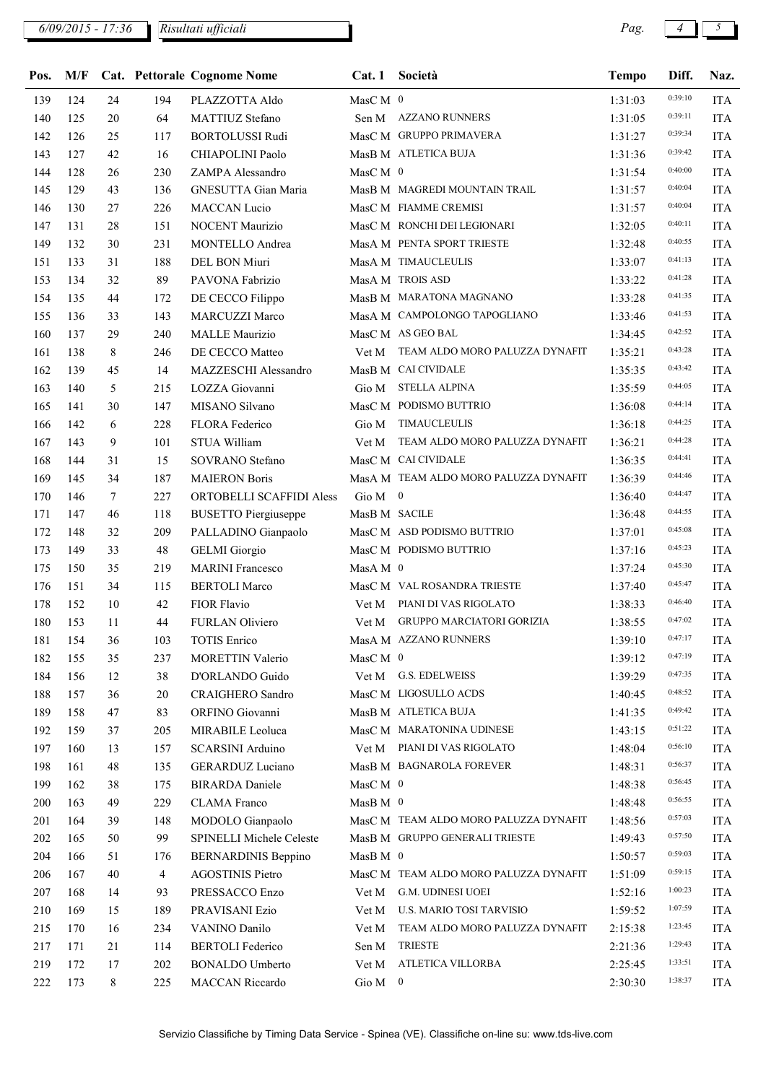6/09/2015 - 17:36 Pag. 4 5 Risultati ufficiali

| Pos. |     |          |                | M/F Cat. Pettorale Cognome Nome     |                 | Cat. 1 Società                        | <b>Tempo</b> | Diff.   | Naz.       |
|------|-----|----------|----------------|-------------------------------------|-----------------|---------------------------------------|--------------|---------|------------|
| 139  | 124 | 24       | 194            | PLAZZOTTA Aldo                      | $MasC M$ 0      |                                       | 1:31:03      | 0:39:10 | <b>ITA</b> |
| 140  | 125 | 20       | 64             | MATTIUZ Stefano                     |                 | Sen M AZZANO RUNNERS                  | 1:31:05      | 0:39:11 | <b>ITA</b> |
| 142  | 126 | 25       | 117            | <b>BORTOLUSSI Rudi</b>              |                 | MasC M GRUPPO PRIMAVERA               | 1:31:27      | 0:39:34 | <b>ITA</b> |
| 143  | 127 | 42       | 16             | CHIAPOLINI Paolo                    |                 | MasB M ATLETICA BUJA                  | 1:31:36      | 0:39:42 | <b>ITA</b> |
| 144  | 128 | 26       | 230            | ZAMPA Alessandro                    | MasC M $\,$ 0   |                                       | 1:31:54      | 0:40:00 | <b>ITA</b> |
| 145  | 129 | 43       | 136            | GNESUTTA Gian Maria                 |                 | MasB M MAGREDI MOUNTAIN TRAIL         | 1:31:57      | 0:40:04 | <b>ITA</b> |
| 146  | 130 | 27       | 226            | MACCAN Lucio                        |                 | MasC M FIAMME CREMISI                 | 1:31:57      | 0:40:04 | <b>ITA</b> |
| 147  | 131 | 28       | 151            | NOCENT Maurizio                     |                 | MasC M RONCHI DEI LEGIONARI           | 1:32:05      | 0:40:11 | <b>ITA</b> |
| 149  | 132 | 30       | 231            | MONTELLO Andrea                     |                 | MasA M PENTA SPORT TRIESTE            | 1:32:48      | 0:40:55 | <b>ITA</b> |
| 151  | 133 | 31       | 188            | DEL BON Miuri                       |                 | MasA M TIMAUCLEULIS                   | 1:33:07      | 0:41:13 | <b>ITA</b> |
| 153  | 134 | 32       | 89             | PAVONA Fabrizio                     |                 | MasA M TROIS ASD                      | 1:33:22      | 0:41:28 | <b>ITA</b> |
| 154  | 135 | 44       | 172            | DE CECCO Filippo                    |                 | MasB M MARATONA MAGNANO               | 1:33:28      | 0:41:35 | <b>ITA</b> |
| 155  | 136 | 33       | 143            | MARCUZZI Marco                      |                 | MasA M CAMPOLONGO TAPOGLIANO          | 1:33:46      | 0:41:53 | <b>ITA</b> |
| 160  | 137 | 29       | 240            | <b>MALLE</b> Maurizio               |                 | MasC M AS GEO BAL                     | 1:34:45      | 0:42:52 | <b>ITA</b> |
| 161  | 138 | 8        | 246            | DE CECCO Matteo                     |                 | Vet M TEAM ALDO MORO PALUZZA DYNAFIT  | 1:35:21      | 0:43:28 | <b>ITA</b> |
| 162  | 139 | 45       | 14             | MAZZESCHI Alessandro                |                 | MasB M CAI CIVIDALE                   | 1:35:35      | 0:43:42 | <b>ITA</b> |
| 163  | 140 | 5        | 215            | LOZZA Giovanni                      |                 | Gio M STELLA ALPINA                   | 1:35:59      | 0:44:05 | <b>ITA</b> |
| 165  | 141 | 30       | 147            | MISANO Silvano                      |                 | MasC M PODISMO BUTTRIO                | 1:36:08      | 0:44:14 | <b>ITA</b> |
| 166  | 142 | 6        | 228            | FLORA Federico                      |                 | Gio M TIMAUCLEULIS                    | 1:36:18      | 0:44:25 | <b>ITA</b> |
| 167  | 143 | 9        | 101            | STUA William                        |                 | Vet M TEAM ALDO MORO PALUZZA DYNAFIT  | 1:36:21      | 0:44:28 | <b>ITA</b> |
| 168  | 144 | 31       | 15             | SOVRANO Stefano                     |                 | MasC M CAI CIVIDALE                   | 1:36:35      | 0:44:41 | <b>ITA</b> |
| 169  | 145 | 34       | 187            | <b>MAIERON Boris</b>                |                 | MasA M TEAM ALDO MORO PALUZZA DYNAFIT | 1:36:39      | 0:44:46 | <b>ITA</b> |
| 170  | 146 | $\tau$   | 227            | ORTOBELLI SCAFFIDI Aless            | Gio $M \quad 0$ |                                       | 1:36:40      | 0:44:47 | <b>ITA</b> |
| 171  | 147 | 46       | 118            | <b>BUSETTO Piergiuseppe</b>         | MasB M SACILE   |                                       | 1:36:48      | 0:44:55 | <b>ITA</b> |
| 172  | 148 | 32       | 209            | PALLADINO Gianpaolo                 |                 | MasC M ASD PODISMO BUTTRIO            | 1:37:01      | 0:45:08 | <b>ITA</b> |
| 173  | 149 | 33       | 48             | <b>GELMI</b> Giorgio                |                 | MasC M PODISMO BUTTRIO                | 1:37:16      | 0:45:23 | <b>ITA</b> |
| 175  | 150 | 35       | 219            | <b>MARINI</b> Francesco             | $MasA M$ 0      |                                       | 1:37:24      | 0:45:30 | <b>ITA</b> |
| 176  | 151 | 34       | 115            | <b>BERTOLI Marco</b>                |                 | MasC M VAL ROSANDRA TRIESTE           | 1:37:40      | 0:45:47 | <b>ITA</b> |
| 178  | 152 | 10       | 42             | FIOR Flavio                         |                 | Vet M PIANI DI VAS RIGOLATO           | 1:38:33      | 0:46:40 | <b>ITA</b> |
| 180  | 153 | 11       | 44             | FURLAN Oliviero                     |                 | Vet M GRUPPO MARCIATORI GORIZIA       | 1:38:55      | 0:47:02 | <b>ITA</b> |
| 181  | 154 | 36       | 103            | TOTIS Enrico                        |                 | MasA M AZZANO RUNNERS                 | 1:39:10      | 0:47:17 | <b>ITA</b> |
| 182  | 155 | 35       | 237            |                                     | MasC M 0        |                                       | 1:39:12      | 0:47:19 | <b>ITA</b> |
| 184  | 156 | 12       | 38             | MORETTIN Valerio<br>D'ORLANDO Guido |                 | Vet M G.S. EDELWEISS                  | 1:39:29      | 0:47:35 | <b>ITA</b> |
| 188  | 157 |          |                | <b>CRAIGHERO Sandro</b>             |                 | MasC M LIGOSULLO ACDS                 |              | 0:48:52 |            |
| 189  | 158 | 36<br>47 | 20             | ORFINO Giovanni                     |                 | MasB M ATLETICA BUJA                  | 1:40:45      | 0:49:42 | <b>ITA</b> |
|      |     |          | 83             |                                     |                 | MasC M MARATONINA UDINESE             | 1:41:35      | 0:51:22 | <b>ITA</b> |
| 192  | 159 | 37       | 205            | MIRABILE Leoluca                    |                 |                                       | 1:43:15      | 0:56:10 | <b>ITA</b> |
| 197  | 160 | 13       | 157            | SCARSINI Arduino                    |                 | Vet M PIANI DI VAS RIGOLATO           | 1:48:04      | 0:56:37 | <b>ITA</b> |
| 198  | 161 | 48       | 135            | <b>GERARDUZ Luciano</b>             |                 | MasB M BAGNAROLA FOREVER              | 1:48:31      | 0:56:45 | <b>ITA</b> |
| 199  | 162 | 38       | 175            | <b>BIRARDA</b> Daniele              | MasC M 0        |                                       | 1:48:38      | 0:56:55 | <b>ITA</b> |
| 200  | 163 | 49       | 229            | <b>CLAMA</b> Franco                 | $MasB M$ 0      |                                       | 1:48:48      | 0:57:03 | <b>ITA</b> |
| 201  | 164 | 39       | 148            | MODOLO Gianpaolo                    |                 | MasC M TEAM ALDO MORO PALUZZA DYNAFIT | 1:48:56      |         | <b>ITA</b> |
| 202  | 165 | 50       | 99             | SPINELLI Michele Celeste            |                 | MasB M GRUPPO GENERALI TRIESTE        | 1:49:43      | 0:57:50 | <b>ITA</b> |
| 204  | 166 | 51       | 176            | <b>BERNARDINIS Beppino</b>          | $MasB M$ 0      |                                       | 1:50:57      | 0:59:03 | <b>ITA</b> |
| 206  | 167 | 40       | $\overline{4}$ | <b>AGOSTINIS Pietro</b>             |                 | MasC M TEAM ALDO MORO PALUZZA DYNAFIT | 1:51:09      | 0:59:15 | <b>ITA</b> |
| 207  | 168 | 14       | 93             | PRESSACCO Enzo                      | Vet M           | G.M. UDINESI UOEI                     | 1:52:16      | 1:00:23 | <b>ITA</b> |
| 210  | 169 | 15       | 189            | PRAVISANI Ezio                      | Vet M           | U.S. MARIO TOSI TARVISIO              | 1:59:52      | 1:07:59 | <b>ITA</b> |
| 215  | 170 | 16       | 234            | VANINO Danilo                       | Vet M           | TEAM ALDO MORO PALUZZA DYNAFIT        | 2:15:38      | 1:23:45 | <b>ITA</b> |
| 217  | 171 | 21       | 114            | <b>BERTOLI</b> Federico             | Sen M           | <b>TRIESTE</b>                        | 2:21:36      | 1:29:43 | <b>ITA</b> |
| 219  | 172 | 17       | 202            | <b>BONALDO Umberto</b>              | Vet M           | ATLETICA VILLORBA                     | 2:25:45      | 1:33:51 | <b>ITA</b> |
| 222  | 173 | 8        | 225            | <b>MACCAN Riccardo</b>              | Gio $M \quad 0$ |                                       | 2:30:30      | 1:38:37 | <b>ITA</b> |